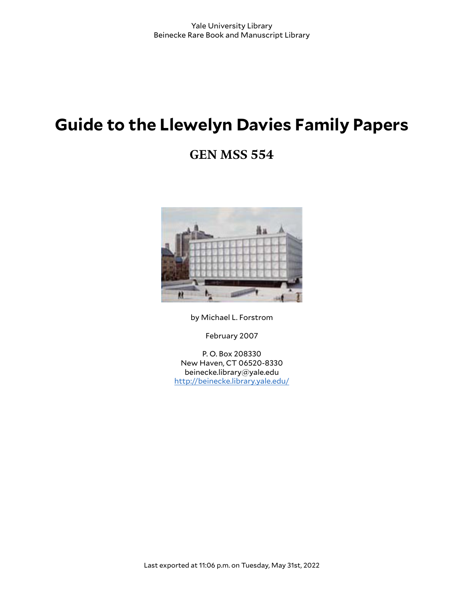# **Guide to the Llewelyn Davies Family Papers**

# **GEN MSS 554**



by Michael L. Forstrom

February 2007

P. O. Box 208330 New Haven, CT 06520-8330 beinecke.library@yale.edu <http://beinecke.library.yale.edu/>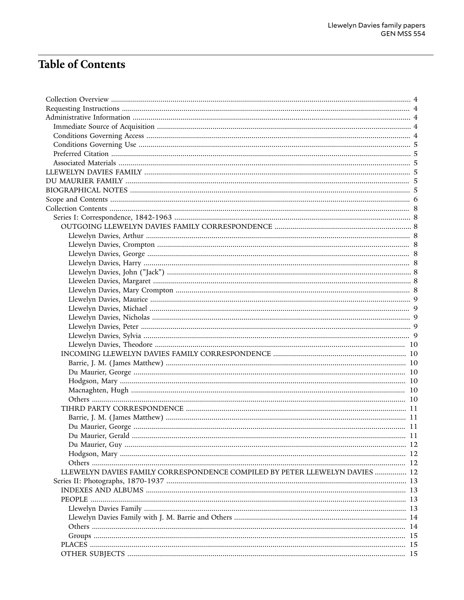# Table of Contents

| LLEWELYN DAVIES FAMILY CORRESPONDENCE COMPILED BY PETER LLEWELYN DAVIES  12 |  |
|-----------------------------------------------------------------------------|--|
|                                                                             |  |
|                                                                             |  |
|                                                                             |  |
|                                                                             |  |
|                                                                             |  |
|                                                                             |  |
|                                                                             |  |
|                                                                             |  |
|                                                                             |  |
|                                                                             |  |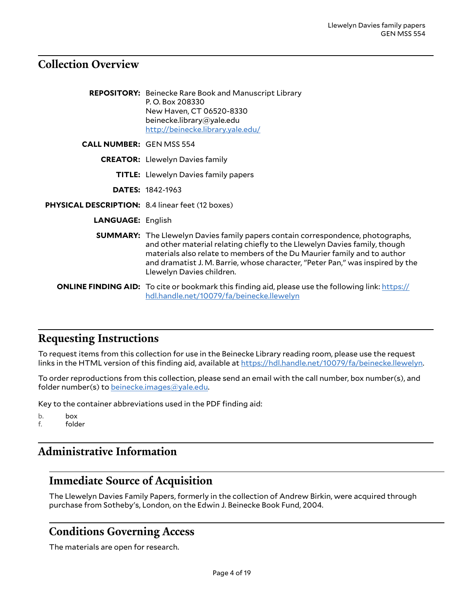# <span id="page-3-0"></span>**Collection Overview**

|                                                         | <b>REPOSITORY:</b> Beinecke Rare Book and Manuscript Library<br>P.O. Box 208330<br>New Haven, CT 06520-8330<br>beinecke.library@yale.edu<br>http://beinecke.library.yale.edu/                                                                                                                                                                                |
|---------------------------------------------------------|--------------------------------------------------------------------------------------------------------------------------------------------------------------------------------------------------------------------------------------------------------------------------------------------------------------------------------------------------------------|
| <b>CALL NUMBER: GEN MSS 554</b>                         |                                                                                                                                                                                                                                                                                                                                                              |
|                                                         | <b>CREATOR:</b> Llewelyn Davies family                                                                                                                                                                                                                                                                                                                       |
|                                                         | <b>TITLE:</b> Llewelyn Davies family papers                                                                                                                                                                                                                                                                                                                  |
|                                                         | <b>DATES: 1842-1963</b>                                                                                                                                                                                                                                                                                                                                      |
| <b>PHYSICAL DESCRIPTION:</b> 8.4 linear feet (12 boxes) |                                                                                                                                                                                                                                                                                                                                                              |
| <b>LANGUAGE: English</b>                                |                                                                                                                                                                                                                                                                                                                                                              |
|                                                         | <b>SUMMARY:</b> The Llewelyn Davies family papers contain correspondence, photographs,<br>and other material relating chiefly to the Llewelyn Davies family, though<br>materials also relate to members of the Du Maurier family and to author<br>and dramatist J. M. Barrie, whose character, "Peter Pan," was inspired by the<br>Llewelyn Davies children. |
|                                                         | <b>ONLINE FINDING AID:</b> To cite or bookmark this finding aid, please use the following link: https://<br>hdl.handle.net/10079/fa/beinecke.llewelyn                                                                                                                                                                                                        |

### <span id="page-3-1"></span>**Requesting Instructions**

To request items from this collection for use in the Beinecke Library reading room, please use the request links in the HTML version of this finding aid, available at <https://hdl.handle.net/10079/fa/beinecke.llewelyn>.

To order reproductions from this collection, please send an email with the call number, box number(s), and folder number(s) to [beinecke.images@yale.edu.](mailto:beinecke.images@yale.edu)

Key to the container abbreviations used in the PDF finding aid:

b. box

f. folder

# <span id="page-3-2"></span>**Administrative Information**

### <span id="page-3-3"></span>**Immediate Source of Acquisition**

The Llewelyn Davies Family Papers, formerly in the collection of Andrew Birkin, were acquired through purchase from Sotheby's, London, on the Edwin J. Beinecke Book Fund, 2004.

### <span id="page-3-4"></span>**Conditions Governing Access**

The materials are open for research.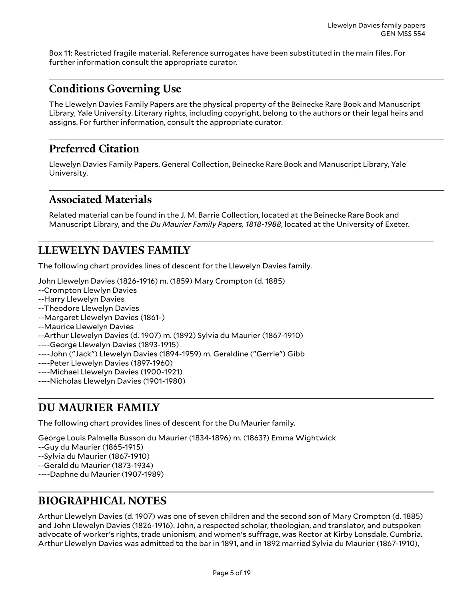Box 11: Restricted fragile material. Reference surrogates have been substituted in the main files. For further information consult the appropriate curator.

# <span id="page-4-0"></span>**Conditions Governing Use**

The Llewelyn Davies Family Papers are the physical property of the Beinecke Rare Book and Manuscript Library, Yale University. Literary rights, including copyright, belong to the authors or their legal heirs and assigns. For further information, consult the appropriate curator.

### <span id="page-4-1"></span>**Preferred Citation**

Llewelyn Davies Family Papers. General Collection, Beinecke Rare Book and Manuscript Library, Yale University.

### <span id="page-4-2"></span>**Associated Materials**

Related material can be found in the J. M. Barrie Collection, located at the Beinecke Rare Book and Manuscript Library, and the *Du Maurier Family Papers, 1818-1988*, located at the University of Exeter.

# <span id="page-4-3"></span>**LLEWELYN DAVIES FAMILY**

The following chart provides lines of descent for the Llewelyn Davies family.

John Llewelyn Davies (1826-1916) m. (1859) Mary Crompton (d. 1885)

- --Crompton Llewlyn Davies
- --Harry Llewelyn Davies
- --Theodore Llewelyn Davies
- --Margaret Llewelyn Davies (1861-)
- --Maurice Llewelyn Davies
- --Arthur Llewelyn Davies (d. 1907) m. (1892) Sylvia du Maurier (1867-1910)
- ----George Llewelyn Davies (1893-1915)
- ----John ("Jack") Llewelyn Davies (1894-1959) m. Geraldine ("Gerrie") Gibb
- ----Peter Llewelyn Davies (1897-1960)
- ----Michael Llewelyn Davies (1900-1921)
- ----Nicholas Llewelyn Davies (1901-1980)

### <span id="page-4-4"></span>**DU MAURIER FAMILY**

The following chart provides lines of descent for the Du Maurier family.

George Louis Palmella Busson du Maurier (1834-1896) m. (1863?) Emma Wightwick

- --Guy du Maurier (1865-1915)
- --Sylvia du Maurier (1867-1910)
- --Gerald du Maurier (1873-1934)
- ----Daphne du Maurier (1907-1989)

# <span id="page-4-5"></span>**BIOGRAPHICAL NOTES**

Arthur Llewelyn Davies (d. 1907) was one of seven children and the second son of Mary Crompton (d. 1885) and John Llewelyn Davies (1826-1916). John, a respected scholar, theologian, and translator, and outspoken advocate of worker's rights, trade unionism, and women's suFrage, was Rector at Kirby Lonsdale, Cumbria. Arthur Llewelyn Davies was admitted to the bar in 1891, and in 1892 married Sylvia du Maurier (1867-1910),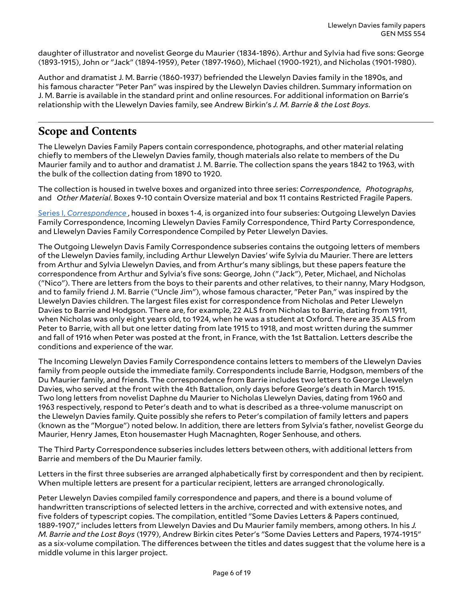daughter of illustrator and novelist George du Maurier (1834-1896). Arthur and Sylvia had five sons: George (1893-1915), John or "Jack" (1894-1959), Peter (1897-1960), Michael (1900-1921), and Nicholas (1901-1980).

Author and dramatist J. M. Barrie (1860-1937) befriended the Llewelyn Davies family in the 1890s, and his famous character "Peter Pan" was inspired by the Llewelyn Davies children. Summary information on J. M. Barrie is available in the standard print and online resources. For additional information on Barrie's relationship with the Llewelyn Davies family, see Andrew Birkin's *J. M. Barrie & the Lost Boys*.

## <span id="page-5-0"></span>**Scope and Contents**

The Llewelyn Davies Family Papers contain correspondence, photographs, and other material relating chiefly to members of the Llewelyn Davies family, though materials also relate to members of the Du Maurier family and to author and dramatist J. M. Barrie. The collection spans the years 1842 to 1963, with the bulk of the collection dating from 1890 to 1920.

The collection is housed in twelve boxes and organized into three series: *Correspondence*, *Photographs*, and *Other Material*. Boxes 9-10 contain Oversize material and box 11 contains Restricted Fragile Papers.

Series I, *[Correspondence](#page-7-1)* , housed in boxes 1-4, is organized into four subseries: Outgoing Llewelyn Davies Family Correspondence, Incoming Llewelyn Davies Family Correspondence, Third Party Correspondence, and Llewelyn Davies Family Correspondence Compiled by Peter Llewelyn Davies.

The Outgoing Llewelyn Davis Family Correspondence subseries contains the outgoing letters of members of the Llewelyn Davies family, including Arthur Llewelyn Davies' wife Sylvia du Maurier. There are letters from Arthur and Sylvia Llewelyn Davies, and from Arthur's many siblings, but these papers feature the correspondence from Arthur and Sylvia's five sons: George, John ("Jack"), Peter, Michael, and Nicholas ("Nico"). There are letters from the boys to their parents and other relatives, to their nanny, Mary Hodgson, and to family friend J. M. Barrie ("Uncle Jim"), whose famous character, "Peter Pan," was inspired by the Llewelyn Davies children. The largest files exist for correspondence from Nicholas and Peter Llewelyn Davies to Barrie and Hodgson. There are, for example, 22 ALS from Nicholas to Barrie, dating from 1911, when Nicholas was only eight years old, to 1924, when he was a student at Oxford. There are 35 ALS from Peter to Barrie, with all but one letter dating from late 1915 to 1918, and most written during the summer and fall of 1916 when Peter was posted at the front, in France, with the 1st Battalion. Letters describe the conditions and experience of the war.

The Incoming Llewelyn Davies Family Correspondence contains letters to members of the Llewelyn Davies family from people outside the immediate family. Correspondents include Barrie, Hodgson, members of the Du Maurier family, and friends. The correspondence from Barrie includes two letters to George Llewelyn Davies, who served at the front with the 4th Battalion, only days before George's death in March 1915. Two long letters from novelist Daphne du Maurier to Nicholas Llewelyn Davies, dating from 1960 and 1963 respectively, respond to Peter's death and to what is described as a three-volume manuscript on the Llewelyn Davies family. Quite possibly she refers to Peter's compilation of family letters and papers (known as the "Morgue") noted below. In addition, there are letters from Sylvia's father, novelist George du Maurier, Henry James, Eton housemaster Hugh Macnaghten, Roger Senhouse, and others.

The Third Party Correspondence subseries includes letters between others, with additional letters from Barrie and members of the Du Maurier family.

Letters in the first three subseries are arranged alphabetically first by correspondent and then by recipient. When multiple letters are present for a particular recipient, letters are arranged chronologically.

Peter Llewelyn Davies compiled family correspondence and papers, and there is a bound volume of handwritten transcriptions of selected letters in the archive, corrected and with extensive notes, and five folders of typescript copies. The compilation, entitled "Some Davies Letters & Papers continued, 1889-1907," includes letters from Llewelyn Davies and Du Maurier family members, among others. In his *J. M. Barrie and the Lost Boys* (1979), Andrew Birkin cites Peter's "Some Davies Letters and Papers, 1974-1915" as a six-volume compilation. The diFerences between the titles and dates suggest that the volume here is a middle volume in this larger project.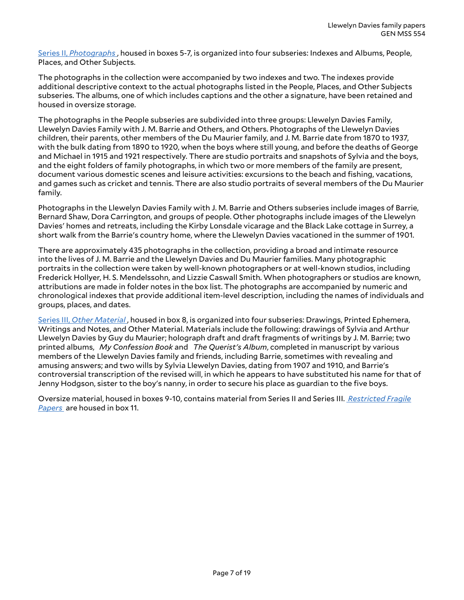Series II, *[Photographs](#page-12-0)* , housed in boxes 5-7, is organized into four subseries: Indexes and Albums, People, Places, and Other Subjects.

The photographs in the collection were accompanied by two indexes and two. The indexes provide additional descriptive context to the actual photographs listed in the People, Places, and Other Subjects subseries. The albums, one of which includes captions and the other a signature, have been retained and housed in oversize storage.

The photographs in the People subseries are subdivided into three groups: Llewelyn Davies Family, Llewelyn Davies Family with J. M. Barrie and Others, and Others. Photographs of the Llewelyn Davies children, their parents, other members of the Du Maurier family, and J. M. Barrie date from 1870 to 1937, with the bulk dating from 1890 to 1920, when the boys where still young, and before the deaths of George and Michael in 1915 and 1921 respectively. There are studio portraits and snapshots of Sylvia and the boys, and the eight folders of family photographs, in which two or more members of the family are present, document various domestic scenes and leisure activities: excursions to the beach and fishing, vacations, and games such as cricket and tennis. There are also studio portraits of several members of the Du Maurier family.

Photographs in the Llewelyn Davies Family with J. M. Barrie and Others subseries include images of Barrie, Bernard Shaw, Dora Carrington, and groups of people. Other photographs include images of the Llewelyn Davies' homes and retreats, including the Kirby Lonsdale vicarage and the Black Lake cottage in Surrey, a short walk from the Barrie's country home, where the Llewelyn Davies vacationed in the summer of 1901.

There are approximately 435 photographs in the collection, providing a broad and intimate resource into the lives of J. M. Barrie and the Llewelyn Davies and Du Maurier families. Many photographic portraits in the collection were taken by well-known photographers or at well-known studios, including Frederick Hollyer, H. S. Mendelssohn, and Lizzie Caswall Smith. When photographers or studios are known, attributions are made in folder notes in the box list. The photographs are accompanied by numeric and chronological indexes that provide additional item-level description, including the names of individuals and groups, places, and dates.

[Series III,](#page-15-0) *Other Material* , housed in box 8, is organized into four subseries: Drawings, Printed Ephemera, Writings and Notes, and Other Material. Materials include the following: drawings of Sylvia and Arthur Llewelyn Davies by Guy du Maurier; holograph draft and draft fragments of writings by J. M. Barrie; two printed albums, *My Confession Book* and *The Querist's Album*, completed in manuscript by various members of the Llewelyn Davies family and friends, including Barrie, sometimes with revealing and amusing answers; and two wills by Sylvia Llewelyn Davies, dating from 1907 and 1910, and Barrie's controversial transcription of the revised will, in which he appears to have substituted his name for that of Jenny Hodgson, sister to the boy's nanny, in order to secure his place as guardian to the five boys.

Oversize material, housed in boxes 9-10, contains material from Series II and Series III. *[Restricted](#page-17-0) Fragile [Papers](#page-17-0)* are housed in box 11.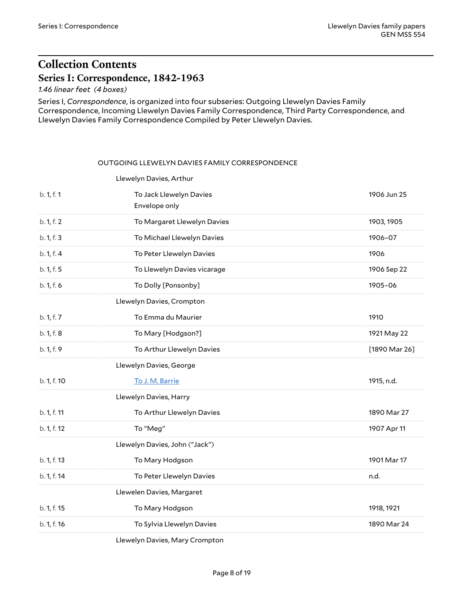# <span id="page-7-0"></span>**Collection Contents Series I: Correspondence, 1842-1963**

<span id="page-7-1"></span>*1.46 linear feet (4 boxes)*

Series I, *Correspondence*, is organized into four subseries: Outgoing Llewelyn Davies Family Correspondence, Incoming Llewelyn Davies Family Correspondence, Third Party Correspondence, and Llewelyn Davies Family Correspondence Compiled by Peter Llewelyn Davies.

#### <span id="page-7-3"></span><span id="page-7-2"></span>OUTGOING LLEWELYN DAVIES FAMILY CORRESPONDENCE

<span id="page-7-4"></span>

|             | Llewelyn Davies, Arthur        |               |
|-------------|--------------------------------|---------------|
| b. 1, f. 1  | To Jack Llewelyn Davies        | 1906 Jun 25   |
|             | Envelope only                  |               |
| b. 1, f. 2  | To Margaret Llewelyn Davies    | 1903, 1905    |
| b. 1, f. 3  | To Michael Llewelyn Davies     | 1906-07       |
| b. 1, f. 4  | To Peter Llewelyn Davies       | 1906          |
| b. 1, f. 5  | To Llewelyn Davies vicarage    | 1906 Sep 22   |
| b. 1, f. 6  | To Dolly [Ponsonby]            | 1905-06       |
|             | Llewelyn Davies, Crompton      |               |
| b. 1, f. 7  | To Emma du Maurier             | 1910          |
| b. 1, f. 8  | To Mary [Hodgson?]             | 1921 May 22   |
| b. 1, f. 9  | To Arthur Llewelyn Davies      | [1890 Mar 26] |
|             | Llewelyn Davies, George        |               |
| b. 1, f. 10 | To J. M. Barrie                | 1915, n.d.    |
|             | Llewelyn Davies, Harry         |               |
| b. 1, f. 11 | To Arthur Llewelyn Davies      | 1890 Mar 27   |
| b. 1, f. 12 | To "Meg"                       | 1907 Apr 11   |
|             | Llewelyn Davies, John ("Jack") |               |
| b. 1, f. 13 | To Mary Hodgson                | 1901 Mar 17   |
| b. 1, f. 14 | To Peter Llewelyn Davies       | n.d.          |
|             | Llewelen Davies, Margaret      |               |
| b. 1, f. 15 | To Mary Hodgson                | 1918, 1921    |
| b. 1, f. 16 | To Sylvia Llewelyn Davies      | 1890 Mar 24   |
|             |                                |               |

<span id="page-7-9"></span><span id="page-7-8"></span><span id="page-7-7"></span><span id="page-7-6"></span><span id="page-7-5"></span>Llewelyn Davies, Mary Crompton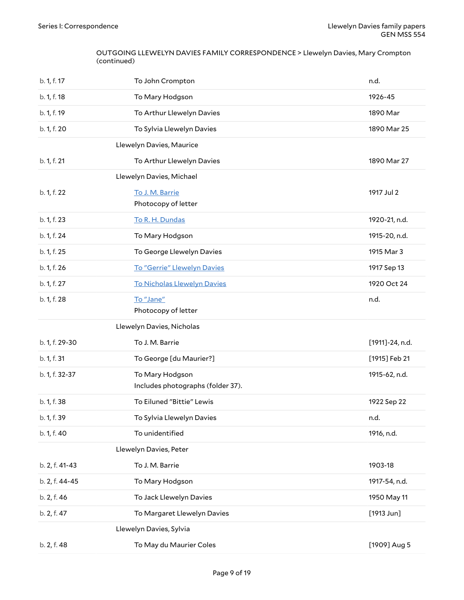#### OUTGOING LLEWELYN DAVIES FAMILY CORRESPONDENCE > Llewelyn Davies, Mary Crompton (continued)

<span id="page-8-4"></span><span id="page-8-3"></span><span id="page-8-2"></span><span id="page-8-1"></span><span id="page-8-0"></span>

| b. 1, f. 17    | To John Crompton                                     | n.d.                 |
|----------------|------------------------------------------------------|----------------------|
| b. 1, f. 18    | To Mary Hodgson                                      | 1926-45              |
| b. 1, f. 19    | To Arthur Llewelyn Davies                            | 1890 Mar             |
| b. 1, f. 20    | To Sylvia Llewelyn Davies                            | 1890 Mar 25          |
|                | Llewelyn Davies, Maurice                             |                      |
| b. 1, f. 21    | To Arthur Llewelyn Davies                            | 1890 Mar 27          |
|                | Llewelyn Davies, Michael                             |                      |
| b. 1, f. 22    | To J. M. Barrie<br>Photocopy of letter               | 1917 Jul 2           |
| b. 1, f. 23    | To R. H. Dundas                                      | 1920-21, n.d.        |
| b. 1, f. 24    | To Mary Hodgson                                      | 1915-20, n.d.        |
| b. 1, f. 25    | To George Llewelyn Davies                            | 1915 Mar 3           |
| b. 1, f. 26    | To "Gerrie" Llewelyn Davies                          | 1917 Sep 13          |
| b. 1, f. 27    | <b>To Nicholas Llewelyn Davies</b>                   | 1920 Oct 24          |
| b. 1, f. 28    | To "Jane"<br>Photocopy of letter                     | n.d.                 |
|                |                                                      |                      |
|                | Llewelyn Davies, Nicholas                            |                      |
| b. 1, f. 29-30 | To J. M. Barrie                                      | [1911]-24, n.d.      |
| b. 1, f. 31    | To George [du Maurier?]                              | [1915] Feb 21        |
| b. 1, f. 32-37 | To Mary Hodgson<br>Includes photographs (folder 37). | 1915-62, n.d.        |
| b. 1, f. 38    | To Eiluned "Bittie" Lewis                            | 1922 Sep 22          |
| b. 1, f. 39    | To Sylvia Llewelyn Davies                            | n.d.                 |
| b. 1, f. 40    | To unidentified                                      | 1916, n.d.           |
|                | Llewelyn Davies, Peter                               |                      |
| b. 2, f. 41-43 | To J. M. Barrie                                      | 1903-18              |
| b. 2, f. 44-45 | To Mary Hodgson                                      | 1917-54, n.d.        |
| b. 2, f. 46    | To Jack Llewelyn Davies                              | 1950 May 11          |
| b. 2, f. 47    | To Margaret Llewelyn Davies                          | $[1913 \text{ Jun}]$ |
|                | Llewelyn Davies, Sylvia                              |                      |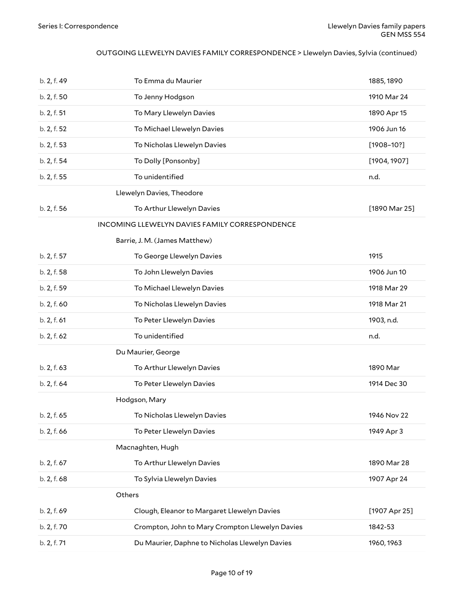### OUTGOING LLEWELYN DAVIES FAMILY CORRESPONDENCE > Llewelyn Davies, Sylvia (continued)

<span id="page-9-6"></span><span id="page-9-5"></span><span id="page-9-4"></span><span id="page-9-3"></span><span id="page-9-2"></span><span id="page-9-1"></span><span id="page-9-0"></span>

| b. 2, f. 49 | To Emma du Maurier                              | 1885, 1890     |
|-------------|-------------------------------------------------|----------------|
| b. 2, f. 50 | To Jenny Hodgson                                | 1910 Mar 24    |
| b. 2, f. 51 | To Mary Llewelyn Davies                         | 1890 Apr 15    |
| b. 2, f. 52 | To Michael Llewelyn Davies                      | 1906 Jun 16    |
| b. 2, f. 53 | To Nicholas Llewelyn Davies                     | $[1908 - 10?]$ |
| b. 2, f. 54 | To Dolly [Ponsonby]                             | [1904, 1907]   |
| b. 2, f. 55 | To unidentified                                 | n.d.           |
|             | Llewelyn Davies, Theodore                       |                |
| b. 2, f. 56 | To Arthur Llewelyn Davies                       | [1890 Mar 25]  |
|             | INCOMING LLEWELYN DAVIES FAMILY CORRESPONDENCE  |                |
|             | Barrie, J. M. (James Matthew)                   |                |
| b. 2, f. 57 | To George Llewelyn Davies                       | 1915           |
| b. 2, f. 58 | To John Llewelyn Davies                         | 1906 Jun 10    |
| b. 2, f. 59 | To Michael Llewelyn Davies                      | 1918 Mar 29    |
| b. 2, f. 60 | To Nicholas Llewelyn Davies                     | 1918 Mar 21    |
| b. 2, f. 61 | To Peter Llewelyn Davies                        | 1903, n.d.     |
| b. 2, f. 62 | To unidentified                                 | n.d.           |
|             | Du Maurier, George                              |                |
| b. 2, f. 63 | To Arthur Llewelyn Davies                       | 1890 Mar       |
| b. 2, f. 64 | To Peter Llewelyn Davies                        | 1914 Dec 30    |
|             | Hodgson, Mary                                   |                |
| b. 2, f. 65 | To Nicholas Llewelyn Davies                     | 1946 Nov 22    |
| b. 2, f. 66 | To Peter Llewelyn Davies                        | 1949 Apr 3     |
|             | Macnaghten, Hugh                                |                |
| b. 2, f. 67 | To Arthur Llewelyn Davies                       | 1890 Mar 28    |
| b. 2, f. 68 | To Sylvia Llewelyn Davies                       | 1907 Apr 24    |
|             | Others                                          |                |
| b. 2, f. 69 | Clough, Eleanor to Margaret Llewelyn Davies     | [1907 Apr 25]  |
| b. 2, f. 70 | Crompton, John to Mary Crompton Llewelyn Davies | 1842-53        |
| b. 2, f. 71 | Du Maurier, Daphne to Nicholas Llewelyn Davies  | 1960, 1963     |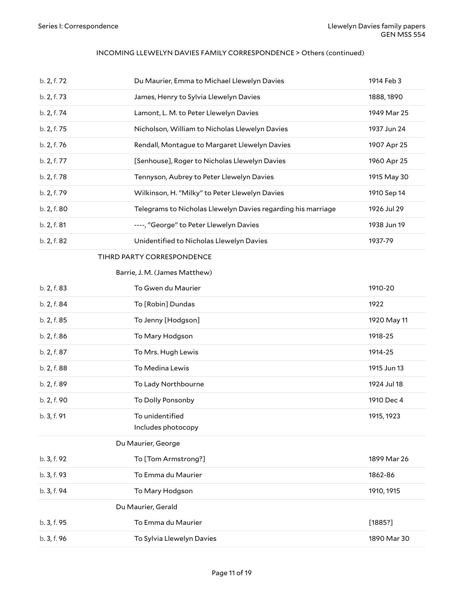#### INCOMING LLEWELYN DAVIES FAMILY CORRESPONDENCE > Others (continued)

<span id="page-10-3"></span><span id="page-10-2"></span><span id="page-10-1"></span><span id="page-10-0"></span>

| b. 2, f. 72 | Du Maurier, Emma to Michael Llewelyn Davies                  | 1914 Feb 3  |
|-------------|--------------------------------------------------------------|-------------|
| b. 2, f. 73 | James, Henry to Sylvia Llewelyn Davies                       | 1888, 1890  |
| b. 2, f. 74 | Lamont, L. M. to Peter Llewelyn Davies                       | 1949 Mar 25 |
| b. 2, f. 75 | Nicholson, William to Nicholas Llewelyn Davies               | 1937 Jun 24 |
| b. 2, f. 76 | Rendall, Montague to Margaret Llewelyn Davies                | 1907 Apr 25 |
| b. 2, f. 77 | [Senhouse], Roger to Nicholas Llewelyn Davies                | 1960 Apr 25 |
| b. 2, f. 78 | Tennyson, Aubrey to Peter Llewelyn Davies                    | 1915 May 30 |
| b. 2, f. 79 | Wilkinson, H. "Milky" to Peter Llewelyn Davies               | 1910 Sep 14 |
| b. 2, f. 80 | Telegrams to Nicholas Llewelyn Davies regarding his marriage | 1926 Jul 29 |
| b. 2, f. 81 | ----, "George" to Peter Llewelyn Davies                      | 1938 Jun 19 |
| b. 2, f. 82 | Unidentified to Nicholas Llewelyn Davies                     | 1937-79     |
|             | TIHRD PARTY CORRESPONDENCE                                   |             |
|             | Barrie, J. M. (James Matthew)                                |             |
| b. 2, f. 83 | To Gwen du Maurier                                           | 1910-20     |
| b. 2, f. 84 | To [Robin] Dundas                                            | 1922        |
| b. 2, f. 85 | To Jenny [Hodgson]                                           | 1920 May 11 |
| b. 2, f. 86 | To Mary Hodgson                                              | 1918-25     |
| b. 2, f. 87 | To Mrs. Hugh Lewis                                           | 1914-25     |
| b. 2, f. 88 | To Medina Lewis                                              | 1915 Jun 13 |
| b. 2, f. 89 | To Lady Northbourne                                          | 1924 Jul 18 |
| b. 2, f. 90 | To Dolly Ponsonby                                            | 1910 Dec 4  |
| b. 3, f. 91 | To unidentified                                              | 1915, 1923  |
|             | Includes photocopy                                           |             |
|             | Du Maurier, George                                           |             |
| b. 3, f. 92 | To [Tom Armstrong?]                                          | 1899 Mar 26 |
| b. 3, f. 93 | To Emma du Maurier                                           | 1862-86     |
| b. 3, f. 94 | To Mary Hodgson                                              | 1910, 1915  |
|             | Du Maurier, Gerald                                           |             |
| b. 3, f. 95 | To Emma du Maurier                                           | [1885?]     |
| b. 3, f. 96 | To Sylvia Llewelyn Davies                                    | 1890 Mar 30 |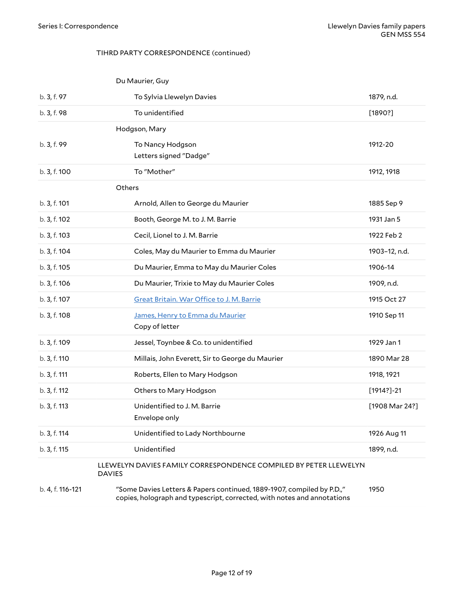#### <span id="page-11-1"></span><span id="page-11-0"></span>TIHRD PARTY CORRESPONDENCE (continued)

<span id="page-11-3"></span><span id="page-11-2"></span>

|                  | Du Maurier, Guy                                                                                                                                   |                  |
|------------------|---------------------------------------------------------------------------------------------------------------------------------------------------|------------------|
| b. 3, f. 97      | To Sylvia Llewelyn Davies                                                                                                                         | 1879, n.d.       |
| b. 3, f. 98      | To unidentified                                                                                                                                   | [1890?]          |
|                  | Hodgson, Mary                                                                                                                                     |                  |
| b. 3, f. 99      | To Nancy Hodgson                                                                                                                                  | 1912-20          |
|                  | Letters signed "Dadge"                                                                                                                            |                  |
| b. 3, f. 100     | To "Mother"                                                                                                                                       | 1912, 1918       |
|                  | Others                                                                                                                                            |                  |
| b. 3, f. 101     | Arnold, Allen to George du Maurier                                                                                                                | 1885 Sep 9       |
| b. 3, f. 102     | Booth, George M. to J. M. Barrie                                                                                                                  | 1931 Jan 5       |
| b. 3, f. 103     | Cecil, Lionel to J. M. Barrie                                                                                                                     | 1922 Feb 2       |
| b. 3, f. 104     | Coles, May du Maurier to Emma du Maurier                                                                                                          | 1903-12, n.d.    |
| b. 3, f. 105     | Du Maurier, Emma to May du Maurier Coles                                                                                                          | 1906-14          |
| b. 3, f. 106     | Du Maurier, Trixie to May du Maurier Coles                                                                                                        | 1909, n.d.       |
| b. 3, f. 107     | Great Britain. War Office to J. M. Barrie                                                                                                         | 1915 Oct 27      |
| b. 3, f. 108     | James, Henry to Emma du Maurier                                                                                                                   | 1910 Sep 11      |
|                  | Copy of letter                                                                                                                                    |                  |
| b. 3, f. 109     | Jessel, Toynbee & Co. to unidentified                                                                                                             | 1929 Jan 1       |
| b. 3, f. 110     | Millais, John Everett, Sir to George du Maurier                                                                                                   | 1890 Mar 28      |
| b. 3, f. 111     | Roberts, Ellen to Mary Hodgson                                                                                                                    | 1918, 1921       |
| b. 3, f. 112     | Others to Mary Hodgson                                                                                                                            | $[1914?] - 21$   |
| b. 3, f. 113     | Unidentified to J. M. Barrie<br>Envelope only                                                                                                     | $[1908$ Mar 24?] |
| b. 3, f. 114     | Unidentified to Lady Northbourne                                                                                                                  | 1926 Aug 11      |
| b. 3, f. 115     | Unidentified                                                                                                                                      | 1899, n.d.       |
|                  | LLEWELYN DAVIES FAMILY CORRESPONDENCE COMPILED BY PETER LLEWELYN<br><b>DAVIES</b>                                                                 |                  |
| b. 4, f. 116-121 | "Some Davies Letters & Papers continued, 1889-1907, compiled by P.D.,"<br>copies, holograph and typescript, corrected, with notes and annotations | 1950             |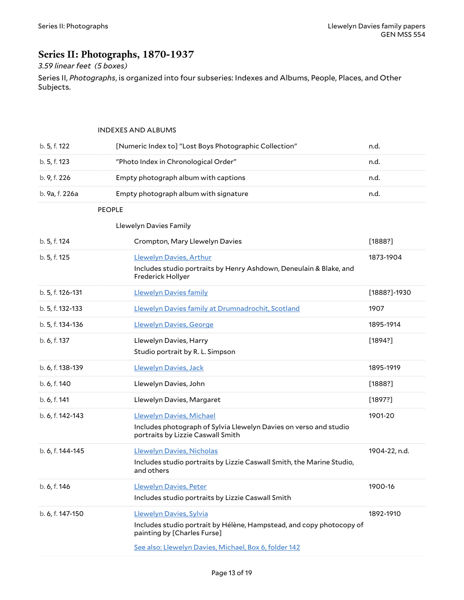# <span id="page-12-0"></span>**Series II: Photographs, 1870-1937**

### *3.59 linear feet (5 boxes)*

Series II, *Photographs*, is organized into four subseries: Indexes and Albums, People, Places, and Other Subjects.

#### <span id="page-12-3"></span><span id="page-12-2"></span><span id="page-12-1"></span>INDEXES AND ALBUMS

<span id="page-12-4"></span>

| b. 5, f. 122     | [Numeric Index to] "Lost Boys Photographic Collection"                                                 | n.d.          |
|------------------|--------------------------------------------------------------------------------------------------------|---------------|
| b. 5, f. 123     | "Photo Index in Chronological Order"                                                                   | n.d.          |
| b. 9, f. 226     | Empty photograph album with captions                                                                   | n.d.          |
| b. 9a, f. 226a   | Empty photograph album with signature                                                                  | n.d.          |
| <b>PEOPLE</b>    |                                                                                                        |               |
|                  | Llewelyn Davies Family                                                                                 |               |
| b. 5, f. 124     | Crompton, Mary Llewelyn Davies                                                                         | [1888?]       |
| b. 5, f. 125     | Llewelyn Davies, Arthur                                                                                | 1873-1904     |
|                  | Includes studio portraits by Henry Ashdown, Deneulain & Blake, and<br>Frederick Hollyer                |               |
| b. 5, f. 126-131 | <b>Llewelyn Davies family</b>                                                                          | [1888?]-1930  |
| b. 5, f. 132-133 | Llewelyn Davies family at Drumnadrochit, Scotland                                                      | 1907          |
| b. 5, f. 134-136 | Llewelyn Davies, George                                                                                | 1895-1914     |
| b. 6, f. 137     | Llewelyn Davies, Harry                                                                                 | [1894?]       |
|                  | Studio portrait by R. L. Simpson                                                                       |               |
| b. 6, f. 138-139 | Llewelyn Davies, Jack                                                                                  | 1895-1919     |
| b. 6, f. 140     | Llewelyn Davies, John                                                                                  | [1888?]       |
| b. 6, f. 141     | Llewelyn Davies, Margaret                                                                              | [1897?]       |
| b. 6, f. 142-143 | Llewelyn Davies, Michael                                                                               | 1901-20       |
|                  | Includes photograph of Sylvia Llewelyn Davies on verso and studio<br>portraits by Lizzie Caswall Smith |               |
| b. 6, f. 144-145 | Llewelyn Davies, Nicholas                                                                              | 1904-22, n.d. |
|                  | Includes studio portraits by Lizzie Caswall Smith, the Marine Studio,<br>and others                    |               |
| b. 6, f. 146     | Llewelyn Davies, Peter                                                                                 | 1900-16       |
|                  | Includes studio portraits by Lizzie Caswall Smith                                                      |               |
| b. 6, f. 147-150 | Llewelyn Davies, Sylvia                                                                                | 1892-1910     |
|                  | Includes studio portrait by Hélène, Hampstead, and copy photocopy of<br>painting by [Charles Furse]    |               |
|                  | See also: Llewelyn Davies, Michael, Box 6, folder 142                                                  |               |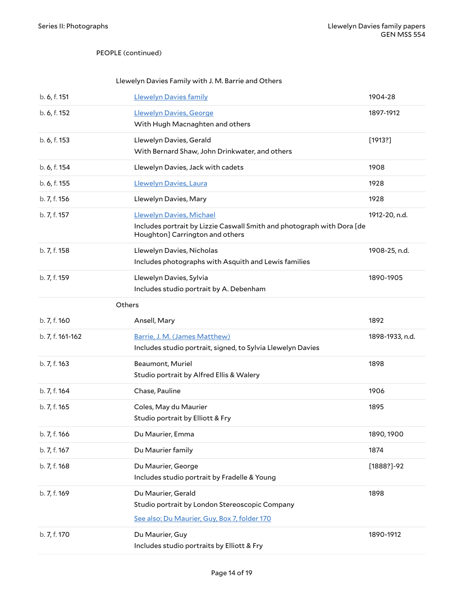#### PEOPLE (continued)

#### <span id="page-13-0"></span>Llewelyn Davies Family with J. M. Barrie and Others

<span id="page-13-2"></span><span id="page-13-1"></span>

| b. 6, f. 151     | <b>Llewelyn Davies family</b>                                                                                                         | 1904-28         |
|------------------|---------------------------------------------------------------------------------------------------------------------------------------|-----------------|
| b. 6, f. 152     | Llewelyn Davies, George<br>With Hugh Macnaghten and others                                                                            | 1897-1912       |
| b. 6, f. 153     | Llewelyn Davies, Gerald<br>With Bernard Shaw, John Drinkwater, and others                                                             | [1913?]         |
| b. 6, f. 154     | Llewelyn Davies, Jack with cadets                                                                                                     | 1908            |
| b. 6, f. 155     | Llewelyn Davies, Laura                                                                                                                | 1928            |
| b. 7, f. 156     | Llewelyn Davies, Mary                                                                                                                 | 1928            |
| b. 7, f. 157     | Llewelyn Davies, Michael<br>Includes portrait by Lizzie Caswall Smith and photograph with Dora [de<br>Houghton] Carrington and others | 1912-20, n.d.   |
| b. 7, f. 158     | Llewelyn Davies, Nicholas<br>Includes photographs with Asquith and Lewis families                                                     | 1908-25, n.d.   |
| b. 7, f. 159     | Llewelyn Davies, Sylvia<br>Includes studio portrait by A. Debenham                                                                    | 1890-1905       |
| Others           |                                                                                                                                       |                 |
| b. 7, f. 160     | Ansell, Mary                                                                                                                          | 1892            |
| b. 7, f. 161-162 | Barrie, J. M. (James Matthew)<br>Includes studio portrait, signed, to Sylvia Llewelyn Davies                                          | 1898-1933, n.d. |
| b. 7, f. 163     | Beaumont, Muriel<br>Studio portrait by Alfred Ellis & Walery                                                                          | 1898            |
| b. 7, f. 164     | Chase, Pauline                                                                                                                        | 1906            |
| b. 7, f. 165     | Coles, May du Maurier<br>Studio portrait by Elliott & Fry                                                                             | 1895            |
| b. 7, f. 166     | Du Maurier, Emma                                                                                                                      | 1890, 1900      |
| b. 7, f. 167     | Du Maurier family                                                                                                                     | 1874            |
| b. 7, f. 168     | Du Maurier, George<br>Includes studio portrait by Fradelle & Young                                                                    | $[1888?] - 92$  |
| b. 7, f. 169     | Du Maurier, Gerald<br>Studio portrait by London Stereoscopic Company<br>See also: Du Maurier, Guy, Box 7, folder 170                  | 1898            |
| b. 7, f. 170     | Du Maurier, Guy<br>Includes studio portraits by Elliott & Fry                                                                         | 1890-1912       |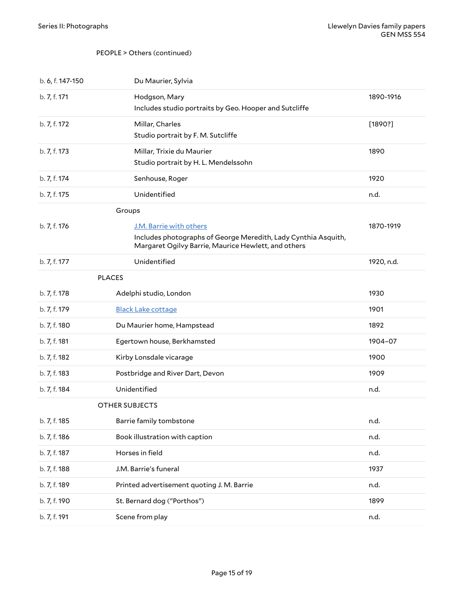#### PEOPLE > Others (continued)

<span id="page-14-2"></span><span id="page-14-1"></span><span id="page-14-0"></span>

| b. 6, f. 147-150 | Du Maurier, Sylvia                                                                                                                               |            |
|------------------|--------------------------------------------------------------------------------------------------------------------------------------------------|------------|
| b. 7, f. 171     | Hodgson, Mary<br>Includes studio portraits by Geo. Hooper and Sutcliffe                                                                          | 1890-1916  |
| b. 7, f. 172     | Millar, Charles<br>Studio portrait by F. M. Sutcliffe                                                                                            | [1890?]    |
| b. 7, f. 173     | Millar, Trixie du Maurier<br>Studio portrait by H. L. Mendelssohn                                                                                | 1890       |
| b. 7, f. 174     | Senhouse, Roger                                                                                                                                  | 1920       |
| b. 7, f. 175     | Unidentified                                                                                                                                     | n.d.       |
|                  | Groups                                                                                                                                           |            |
| b. 7, f. 176     | J.M. Barrie with others<br>Includes photographs of George Meredith, Lady Cynthia Asquith,<br>Margaret Ogilvy Barrie, Maurice Hewlett, and others | 1870-1919  |
| b. 7, f. 177     | Unidentified                                                                                                                                     | 1920, n.d. |
|                  | <b>PLACES</b>                                                                                                                                    |            |
| b. 7, f. 178     | Adelphi studio, London                                                                                                                           | 1930       |
| b. 7, f. 179     | <b>Black Lake cottage</b>                                                                                                                        | 1901       |
| b. 7, f. 180     | Du Maurier home, Hampstead                                                                                                                       | 1892       |
| b. 7, f. 181     | Egertown house, Berkhamsted                                                                                                                      | 1904-07    |
| b. 7, f. 182     | Kirby Lonsdale vicarage                                                                                                                          | 1900       |
| b. 7, f. 183     | Postbridge and River Dart, Devon                                                                                                                 | 1909       |
| b. 7, f. 184     | Unidentified                                                                                                                                     | n.d.       |
|                  | <b>OTHER SUBJECTS</b>                                                                                                                            |            |
| b. 7, f. 185     | Barrie family tombstone                                                                                                                          | n.d.       |
| b. 7, f. 186     | Book illustration with caption                                                                                                                   | n.d.       |
| b. 7, f. 187     | Horses in field                                                                                                                                  | n.d.       |
| b. 7, f. 188     | J.M. Barrie's funeral                                                                                                                            | 1937       |
| b. 7, f. 189     | Printed advertisement quoting J. M. Barrie                                                                                                       | n.d.       |
| b. 7, f. 190     | St. Bernard dog ("Porthos")                                                                                                                      | 1899       |
| b. 7, f. 191     | Scene from play                                                                                                                                  | n.d.       |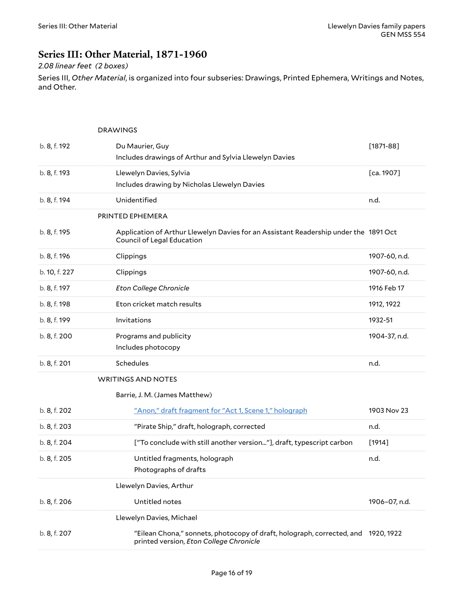### <span id="page-15-0"></span>**Series III: Other Material, 1871-1960**

### *2.08 linear feet (2 boxes)*

Series III, *Other Material*, is organized into four subseries: Drawings, Printed Ephemera, Writings and Notes, and Other.

<span id="page-15-6"></span><span id="page-15-5"></span><span id="page-15-4"></span><span id="page-15-3"></span><span id="page-15-2"></span><span id="page-15-1"></span>

|               | <b>DRAWINGS</b>                                                                                                              |               |
|---------------|------------------------------------------------------------------------------------------------------------------------------|---------------|
| b. 8, f. 192  | Du Maurier, Guy                                                                                                              | $[1871 - 88]$ |
|               | Includes drawings of Arthur and Sylvia Llewelyn Davies                                                                       |               |
| b. 8, f. 193  | Llewelyn Davies, Sylvia                                                                                                      | [ca. 1907]    |
|               | Includes drawing by Nicholas Llewelyn Davies                                                                                 |               |
| b. 8, f. 194  | Unidentified                                                                                                                 | n.d.          |
|               | PRINTED EPHEMERA                                                                                                             |               |
| b. 8, f. 195  | Application of Arthur Llewelyn Davies for an Assistant Readership under the 1891 Oct<br>Council of Legal Education           |               |
| b. 8, f. 196  | Clippings                                                                                                                    | 1907-60, n.d. |
| b. 10, f. 227 | Clippings                                                                                                                    | 1907-60, n.d. |
| b. 8, f. 197  | <b>Eton College Chronicle</b>                                                                                                | 1916 Feb 17   |
| b. 8, f. 198  | Eton cricket match results                                                                                                   | 1912, 1922    |
| b. 8, f. 199  | Invitations                                                                                                                  | 1932-51       |
| b. 8, f. 200  | Programs and publicity                                                                                                       | 1904-37, n.d. |
|               | Includes photocopy                                                                                                           |               |
| b. 8, f. 201  | Schedules                                                                                                                    | n.d.          |
|               | <b>WRITINGS AND NOTES</b>                                                                                                    |               |
|               | Barrie, J. M. (James Matthew)                                                                                                |               |
| b. 8, f. 202  | "Anon," draft fragment for "Act 1, Scene 1," holograph                                                                       | 1903 Nov 23   |
| b. 8, f. 203  | "Pirate Ship," draft, holograph, corrected                                                                                   | n.d.          |
| b. 8, f. 204  | ["To conclude with still another version"], draft, typescript carbon                                                         | $[1914]$      |
| b. 8, f. 205  | Untitled fragments, holograph                                                                                                | n.d.          |
|               | Photographs of drafts                                                                                                        |               |
|               | Llewelyn Davies, Arthur                                                                                                      |               |
| b. 8, f. 206  | Untitled notes                                                                                                               | 1906-07, n.d. |
|               | Llewelyn Davies, Michael                                                                                                     |               |
| b. 8, f. 207  | "Eilean Chona," sonnets, photocopy of draft, holograph, corrected, and 1920, 1922<br>printed version, Eton College Chronicle |               |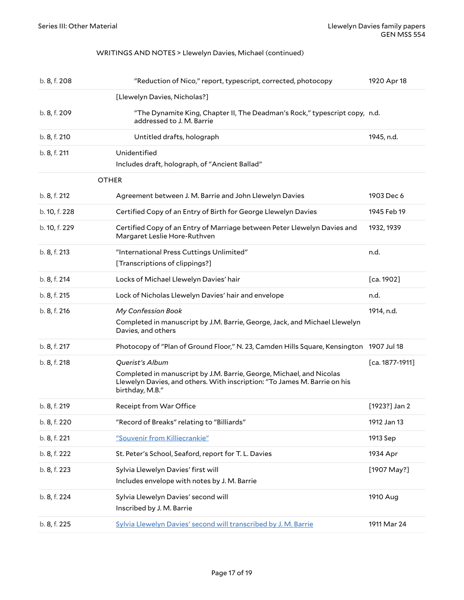#### <span id="page-16-0"></span>WRITINGS AND NOTES > Llewelyn Davies, Michael (continued)

<span id="page-16-2"></span><span id="page-16-1"></span>

| b. 8, f. 208  | "Reduction of Nico," report, typescript, corrected, photocopy                                                                                                                           | 1920 Apr 18       |
|---------------|-----------------------------------------------------------------------------------------------------------------------------------------------------------------------------------------|-------------------|
|               | [Llewelyn Davies, Nicholas?]                                                                                                                                                            |                   |
| b. 8, f. 209  | "The Dynamite King, Chapter II, The Deadman's Rock," typescript copy, n.d.<br>addressed to J. M. Barrie                                                                                 |                   |
| b. 8, f. 210  | Untitled drafts, holograph                                                                                                                                                              | 1945, n.d.        |
| b. 8, f. 211  | Unidentified<br>Includes draft, holograph, of "Ancient Ballad"                                                                                                                          |                   |
| <b>OTHER</b>  |                                                                                                                                                                                         |                   |
| b. 8, f. 212  | Agreement between J. M. Barrie and John Llewelyn Davies                                                                                                                                 | 1903 Dec 6        |
| b. 10, f. 228 | Certified Copy of an Entry of Birth for George Llewelyn Davies                                                                                                                          | 1945 Feb 19       |
| b. 10, f. 229 | Certified Copy of an Entry of Marriage between Peter Llewelyn Davies and<br>Margaret Leslie Hore-Ruthven                                                                                | 1932, 1939        |
| b. 8, f. 213  | "International Press Cuttings Unlimited"<br>[Transcriptions of clippings?]                                                                                                              | n.d.              |
| b. 8, f. 214  | Locks of Michael Llewelyn Davies' hair                                                                                                                                                  | [ca. 1902]        |
| b. 8, f. 215  | Lock of Nicholas Llewelyn Davies' hair and envelope                                                                                                                                     | n.d.              |
| b. 8, f. 216  | My Confession Book<br>Completed in manuscript by J.M. Barrie, George, Jack, and Michael Llewelyn<br>Davies, and others                                                                  | 1914, n.d.        |
| b. 8, f. 217  | Photocopy of "Plan of Ground Floor," N. 23, Camden Hills Square, Kensington 1907 Jul 18                                                                                                 |                   |
| b. 8, f. 218  | Querist's Album<br>Completed in manuscript by J.M. Barrie, George, Michael, and Nicolas<br>Llewelyn Davies, and others. With inscription: "To James M. Barrie on his<br>birthday, M.B." | $[ca. 1877-1911]$ |
| b. 8, f. 219  | Receipt from War Office                                                                                                                                                                 | $[1923?]$ Jan 2   |
| b. 8, f. 220  | "Record of Breaks" relating to "Billiards"                                                                                                                                              | 1912 Jan 13       |
| b. 8, f. 221  | "Souvenir from Killiecrankie"                                                                                                                                                           | 1913 Sep          |
| b. 8, f. 222  | St. Peter's School, Seaford, report for T. L. Davies                                                                                                                                    | 1934 Apr          |
| b. 8, f. 223  | Sylvia Llewelyn Davies' first will<br>Includes envelope with notes by J. M. Barrie                                                                                                      | [1907 May?]       |
| b. 8, f. 224  | Sylvia Llewelyn Davies' second will<br>Inscribed by J. M. Barrie                                                                                                                        | 1910 Aug          |
| b. 8, f. 225  | Sylvia Llewelyn Davies' second will transcribed by J. M. Barrie                                                                                                                         | 1911 Mar 24       |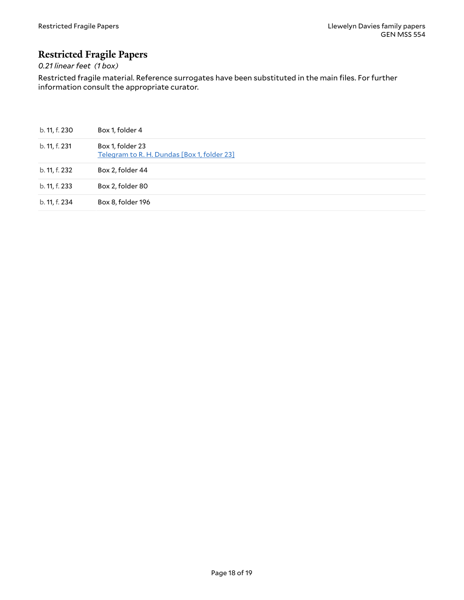# <span id="page-17-0"></span>**Restricted Fragile Papers**

### *0.21 linear feet (1 box)*

Restricted fragile material. Reference surrogates have been substituted in the main files. For further information consult the appropriate curator.

| b. 11, f. 230 | Box 1, folder 4                                                 |
|---------------|-----------------------------------------------------------------|
| b. 11, f. 231 | Box 1, folder 23<br>Telegram to R. H. Dundas [Box 1, folder 23] |
| b. 11, f. 232 | Box 2, folder 44                                                |
| b. 11, f. 233 | Box 2, folder 80                                                |
| b. 11, f. 234 | Box 8, folder 196                                               |